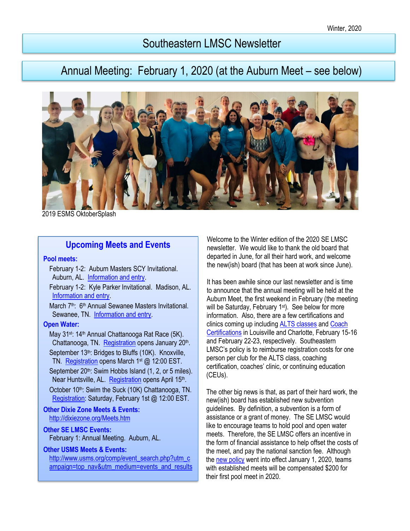# Southeastern LMSC Newsletter

# Annual Meeting: February 1, 2020 (at the Auburn Meet – see below)



2019 ESMS OktoberSplash

## **Upcoming Meets and Events**

#### **Pool meets:**

- February 1-2: Auburn Masters SCY Invitational. Auburn, AL. [Information and entry.](https://www.clubassistant.com/club/meet_information.cfm?c=1582&smid=12643)
- February 1-2: Kyle Parker Invitational. Madison, AL. [Information and entry.](http://dixiezone.org/Meets/2002madison.pdf)
- March 7<sup>th</sup>: 6<sup>th</sup> Annual Sewanee Masters Invitational. Sewanee, TN. [Information and entry.](https://www.clubassistant.com/club/meet_information.cfm?c=2384&smid=12654)

#### **Open Water:**

- May 31<sup>st</sup>: 14<sup>th</sup> Annual Chattanooga Rat Race (5K). Chattanooga, TN. [Registration](https://chattanoogaswimfest.org/) opens January 20<sup>th</sup>. September 13<sup>th</sup>: Bridges to Bluffs (10K). Knoxville, TN. [Registration](https://knoxvilleopen-waterswimmers.squarespace.com/new-page) opens March 1<sup>st</sup> @ 12:00 EST.
- September 20<sup>th</sup>: Swim Hobbs Island (1, 2, or 5 miles). Near Huntsville, AL. [Registration](http://www.teamrockettri.org/swim-hobbs-island/) opens April 15<sup>th</sup>. October 10<sup>th</sup>: Swim the Suck (10K) Chattanooga, TN. [Registration:](http://www.swimthesuck.org/triple-crown-of-the-tn) Saturday, February 1st @ 12:00 EST.

#### **Other Dixie Zone Meets & Events:**  <http://dixiezone.org/Meets.htm>

#### **Other SE LMSC Events:**  [February](http://dixiezone.org/Meets.htm) 1: Annual Meeting. Auburn, AL.

#### **Other USMS Meets & Events:**

[http://www.usms.org/comp/event\\_search.php?utm\\_c](http://www.usms.org/comp/event_search.php?utm_campaign=top_nav&utm_medium=events_and_results) [ampaign=top\\_nav&utm\\_medium=events\\_and\\_results](http://www.usms.org/comp/event_search.php?utm_campaign=top_nav&utm_medium=events_and_results) Welcome to the Winter edition of the 2020 SE LMSC newsletter. We would like to thank the old board that departed in June, for all their hard work, and welcome the new(ish) board (that has been at work since June).

It has been awhile since our last newsletter and is time to announce that the annual meeting will be held at the Auburn Meet, the first weekend in February (the meeting will be Saturday, February 1<sup>st</sup>). See below for more information. Also, there are a few certifications and clinics coming up including **[ALTS classes](https://www.usms.org/alts-central/alts-instructor-certification/alts-instructor-course-schedule)** and **Coach** [Certifications](https://www.usms.org/coach-central/coach-certification/coach-certification-course-schedule) in Louisville and Charlotte, February 15-16 and February 22-23, respectively. Southeastern LMSC's policy is to reimburse registration costs for one person per club for the ALTS class, coaching certification, coaches' clinic, or continuing education (CEUs).

The other big news is that, as part of their hard work, the new(ish) board has established new subvention guidelines. By definition, a subvention is a form of assistance or a grant of money. The SE LMSC would like to encourage teams to hold pool and open water meets. Therefore, the SE LMSC offers an incentive in the form of financial assistance to help offset the costs of the meet, and pay the national sanction fee. Although the [new policy](https://www.clubassistant.com/c/5129A5D/file/Subvention%20guidelines%20%20final%208_27_19.pdf) went into effect January 1, 2020, teams with established meets will be compensated \$200 for their first pool meet in 2020.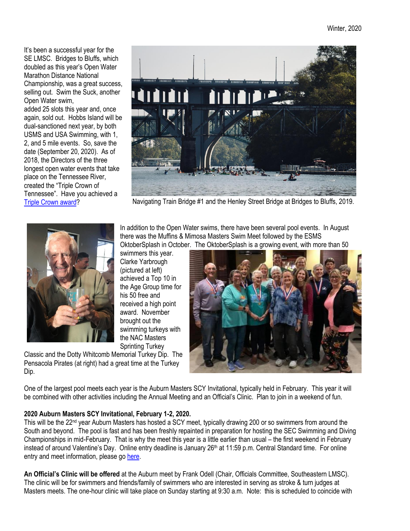It's been a successful year for the SE LMSC. Bridges to Bluffs, which doubled as this year's Open Water Marathon Distance National Championship, was a great success, selling out. Swim the Suck, another Open Water swim,

added 25 slots this year and, once again, sold out. Hobbs Island will be dual-sanctioned next year, by both USMS and USA Swimming, with 1, 2, and 5 mile events. So, save the date (September 20, 2020). As of 2018, the Directors of the three longest open water events that take place on the Tennessee River, created the "Triple Crown of Tennessee". Have you achieved a [Triple Crown award?](http://www.swimthesuck.org/triple-crown-of-the-tn)



Navigating Train Bridge #1 and the Henley Street Bridge at Bridges to Bluffs, 2019.



In addition to the Open Water swims, there have been several pool events. In August there was the Muffins & Mimosa Masters Swim Meet followed by the ESMS OktoberSplash in October. The OktoberSplash is a growing event, with more than 50

swimmers this year. Clarke Yarbrough (pictured at left) achieved a Top 10 in the Age Group time for his 50 free and received a high point award. November brought out the swimming turkeys with the NAC Masters Sprinting Turkey

Classic and the Dotty Whitcomb Memorial Turkey Dip. The Pensacola Pirates (at right) had a great time at the Turkey Dip.



One of the largest pool meets each year is the Auburn Masters SCY Invitational, typically held in February. This year it will be combined with other activities including the Annual Meeting and an Official's Clinic. Plan to join in a weekend of fun.

## **2020 Auburn Masters SCY Invitational, February 1-2, 2020.**

This will be the 22nd year Auburn Masters has hosted a SCY meet, typically drawing 200 or so swimmers from around the South and beyond. The pool is fast and has been freshly repainted in preparation for hosting the SEC Swimming and Diving Championships in mid-February. That is why the meet this year is a little earlier than usual – the first weekend in February instead of around Valentine's Day. Online entry deadline is January 26<sup>th</sup> at 11:59 p.m. Central Standard time. For online entry and meet information, please go [here.](https://www.clubassistant.com/club/meet_information.cfm?c=1582&smid=12643)

**An Official's Clinic will be offered** at the Auburn meet by Frank Odell (Chair, Officials Committee, Southeastern LMSC). The clinic will be for swimmers and friends/family of swimmers who are interested in serving as stroke & turn judges at Masters meets. The one-hour clinic will take place on Sunday starting at 9:30 a.m. Note: this is scheduled to coincide with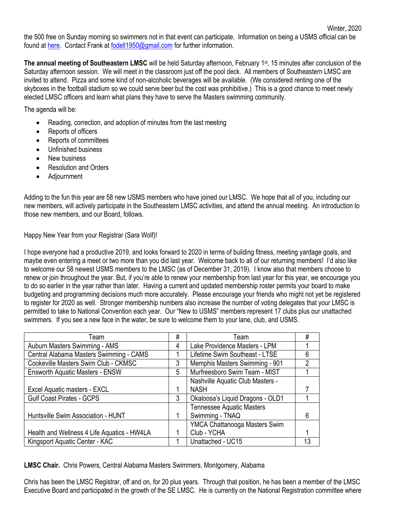Winter, 2020

**The annual meeting of Southeastern LMSC** will be held Saturday afternoon, February 1<sup>st</sup>, 15 minutes after conclusion of the Saturday afternoon session. We will meet in the classroom just off the pool deck. All members of Southeastern LMSC are invited to attend. Pizza and some kind of non-alcoholic beverages will be available. (We considered renting one of the skyboxes in the football stadium so we could serve beer but the cost was prohibitive.) This is a good chance to meet newly elected LMSC officers and learn what plans they have to serve the Masters swimming community.

The agenda will be:

- Reading, correction, and adoption of minutes from the last meeting
- Reports of officers
- Reports of committees
- Unfinished business
- New business
- Resolution and Orders
- Adjournment

Adding to the fun this year are 58 new USMS members who have joined our LMSC. We hope that all of you, including our new members, will actively participate in the Southeastern LMSC activities, and attend the annual meeting. An introduction to those new members, and our Board, follows.

Happy New Year from your Registrar (Sara Wolf)!

I hope everyone had a productive 2019, and looks forward to 2020 in terms of building fitness, meeting yardage goals, and maybe even entering a meet or two more than you did last year. Welcome back to all of our returning members! I'd also like to welcome our 58 newest USMS members to the LMSC (as of December 31, 2019). I know also that members choose to renew or join throughout the year. But, if you're able to renew your membership from last year for this year, we encourage you to do so earlier in the year rather than later. Having a current and updated membership roster permits your board to make budgeting and programming decisions much more accurately. Please encourage your friends who might not yet be registered to register for 2020 as well. Stronger membership numbers also increase the number of voting delegates that your LMSC is permitted to take to National Convention each year. Our "New to USMS" members represent 17 clubs plus our unattached swimmers. If you see a new face in the water, be sure to welcome them to your lane, club, and USMS.

| Team                                        | # | Team                             | #  |
|---------------------------------------------|---|----------------------------------|----|
| Auburn Masters Swimming - AMS               | 4 | Lake Providence Masters - LPM    |    |
| Central Alabama Masters Swimming - CAMS     |   | Lifetime Swim Southeast - LTSE   | 6  |
| Cookeville Masters Swim Club - CKMSC        | 3 | Memphis Masters Swimming - 901   | 2  |
| <b>Ensworth Aquatic Masters - ENSW</b>      | 5 | Murfreesboro Swim Team - MIST    |    |
|                                             |   | Nashville Aquatic Club Masters - |    |
| Excel Aquatic masters - EXCL                |   | <b>NASH</b>                      |    |
| <b>Gulf Coast Pirates - GCPS</b>            | 3 | Okaloosa's Liquid Dragons - OLD1 |    |
|                                             |   | <b>Tennessee Aquatic Masters</b> |    |
| Huntsville Swim Association - HUNT          |   | Swimming - TNAQ                  | 6  |
|                                             |   | YMCA Chattanooga Masters Swim    |    |
| Health and Wellness 4 Life Aquatics - HW4LA |   | Club - YCHA                      |    |
| Kingsport Aquatic Center - KAC              |   | Unattached - UC15                | 13 |

**LMSC Chair.** Chris Powers, Central Alabama Masters Swimmers, Montgomery, Alabama

Chris has been the LMSC Registrar, off and on, for 20 plus years. Through that position, he has been a member of the LMSC Executive Board and participated in the growth of the SE LMSC. He is currently on the National Registration committee where